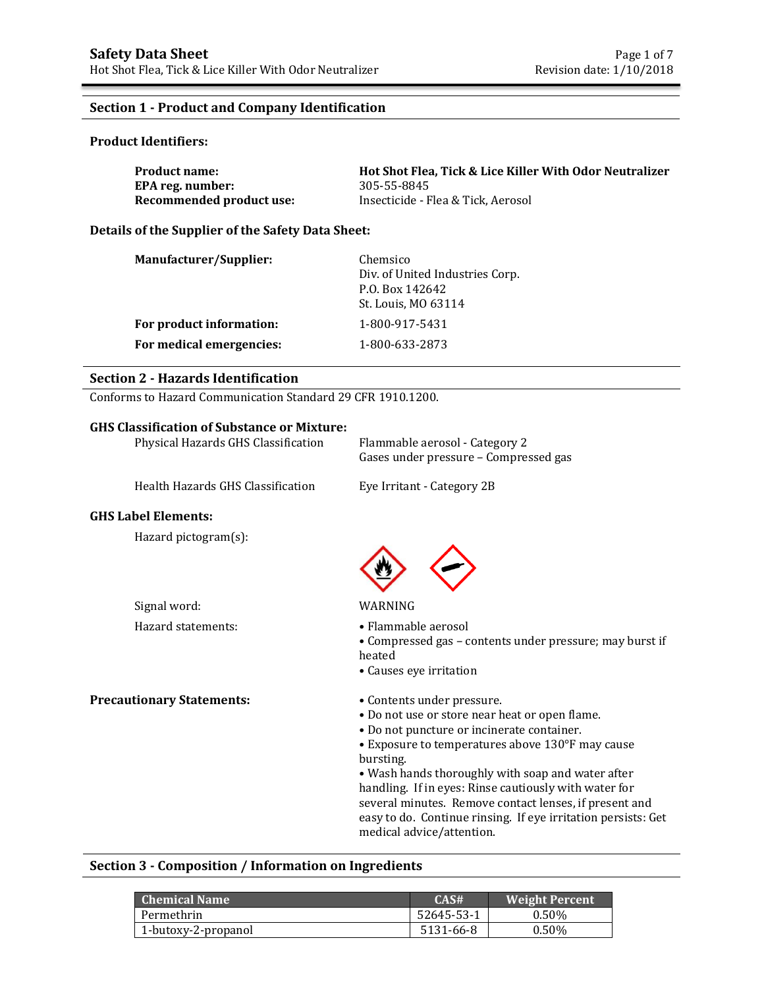### **Section 1 - Product and Company Identification**

### **Product Identifiers:**

| <b>Product name:</b>     | Hot Shot Flea. Tick & Lice Killer With Odor Neutralizer |
|--------------------------|---------------------------------------------------------|
| EPA reg. number:         | 305-55-8845                                             |
| Recommended product use: | Insecticide - Flea & Tick, Aerosol                      |

### **Details of the Supplier of the Safety Data Sheet:**

| <b>Manufacturer/Supplier:</b> | Chemsico<br>Div. of United Industries Corp.<br>P.O. Box 142642<br>St. Louis, MO 63114 |
|-------------------------------|---------------------------------------------------------------------------------------|
| For product information:      | 1-800-917-5431                                                                        |
| For medical emergencies:      | 1-800-633-2873                                                                        |

## **Section 2 - Hazards Identification**

Conforms to Hazard Communication Standard 29 CFR 1910.1200.

### **GHS Classification of Substance or Mixture:**

| Physical Hazards GHS Classification | Flammable aerosol - Category 2<br>Gases under pressure - Compressed gas                                                                                                                     |
|-------------------------------------|---------------------------------------------------------------------------------------------------------------------------------------------------------------------------------------------|
| Health Hazards GHS Classification   | Eye Irritant - Category 2B                                                                                                                                                                  |
| <b>GHS Label Elements:</b>          |                                                                                                                                                                                             |
| Hazard pictogram(s):                |                                                                                                                                                                                             |
| Signal word:                        | WARNING                                                                                                                                                                                     |
| Hazard statements:                  | $\bullet$ Flammable aerosol<br>• Compressed gas – contents under pressure; may burst if<br>heated<br>• Causes eye irritation                                                                |
| <b>Precautionary Statements:</b>    | • Contents under pressure.<br>• Do not use or store near heat or open flame.<br>• Do not puncture or incinerate container.<br>• Exposure to temperatures above 130°F may cause<br>bursting. |

• Wash hands thoroughly with soap and water after handling. If in eyes: Rinse cautiously with water for several minutes. Remove contact lenses, if present and easy to do. Continue rinsing. If eye irritation persists: Get medical advice/attention.

### **Section 3 - Composition / Information on Ingredients**

| ' Chemical Name :   | CAS#       | <b>Weight Percent</b> |
|---------------------|------------|-----------------------|
| Permethrin          | 52645-53-1 | 0.50%                 |
| 1-butoxy-2-propanol | 5131-66-8  | $0.50\%$              |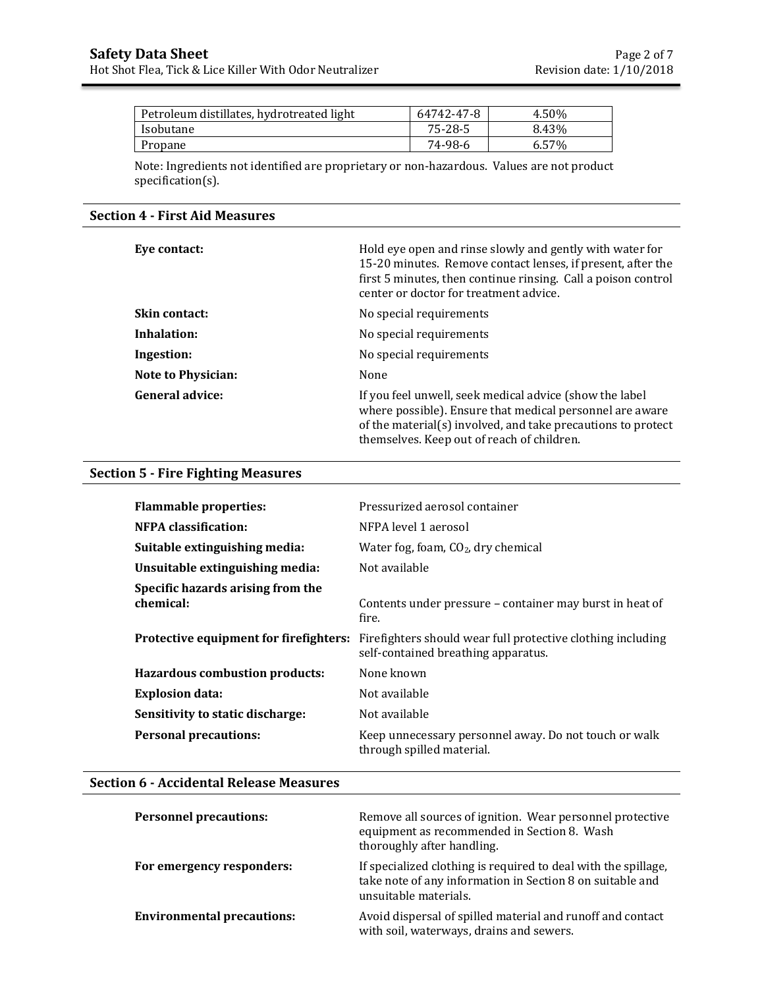| Petroleum distillates, hydrotreated light | 64742-47-8 | 4.50% |
|-------------------------------------------|------------|-------|
| Isobutane                                 | 75-28-5    | 8.43% |
| Propane                                   | 74-98-6    | 6.57% |

Note: Ingredients not identified are proprietary or non-hazardous. Values are not product specification(s).

# **Section 4 - First Aid Measures**

| Eye contact:              | Hold eye open and rinse slowly and gently with water for<br>15-20 minutes. Remove contact lenses, if present, after the<br>first 5 minutes, then continue rinsing. Call a poison control<br>center or doctor for treatment advice. |
|---------------------------|------------------------------------------------------------------------------------------------------------------------------------------------------------------------------------------------------------------------------------|
| <b>Skin contact:</b>      | No special requirements                                                                                                                                                                                                            |
| Inhalation:               | No special requirements                                                                                                                                                                                                            |
| Ingestion:                | No special requirements                                                                                                                                                                                                            |
| <b>Note to Physician:</b> | None                                                                                                                                                                                                                               |
| <b>General advice:</b>    | If you feel unwell, seek medical advice (show the label<br>where possible). Ensure that medical personnel are aware<br>of the material(s) involved, and take precautions to protect<br>themselves. Keep out of reach of children.  |

# **Section 5 - Fire Fighting Measures**

| <b>Flammable properties:</b>                   | Pressurized aerosol container                                                                      |
|------------------------------------------------|----------------------------------------------------------------------------------------------------|
| <b>NFPA</b> classification:                    | NFPA level 1 aerosol                                                                               |
| Suitable extinguishing media:                  | Water fog, foam, $CO2$ , dry chemical                                                              |
| Unsuitable extinguishing media:                | Not available                                                                                      |
| Specific hazards arising from the<br>chemical: | Contents under pressure – container may burst in heat of<br>fire.                                  |
| Protective equipment for firefighters:         | Firefighters should wear full protective clothing including<br>self-contained breathing apparatus. |
| <b>Hazardous combustion products:</b>          | None known                                                                                         |
| <b>Explosion data:</b>                         | Not available                                                                                      |
| Sensitivity to static discharge:               | Not available                                                                                      |
| <b>Personal precautions:</b>                   | Keep unnecessary personnel away. Do not touch or walk<br>through spilled material.                 |

### **Section 6 - Accidental Release Measures**

| <b>Personnel precautions:</b>     | Remove all sources of ignition. Wear personnel protective<br>equipment as recommended in Section 8. Wash<br>thoroughly after handling.               |
|-----------------------------------|------------------------------------------------------------------------------------------------------------------------------------------------------|
| For emergency responders:         | If specialized clothing is required to deal with the spillage,<br>take note of any information in Section 8 on suitable and<br>unsuitable materials. |
| <b>Environmental precautions:</b> | Avoid dispersal of spilled material and runoff and contact<br>with soil, waterways, drains and sewers.                                               |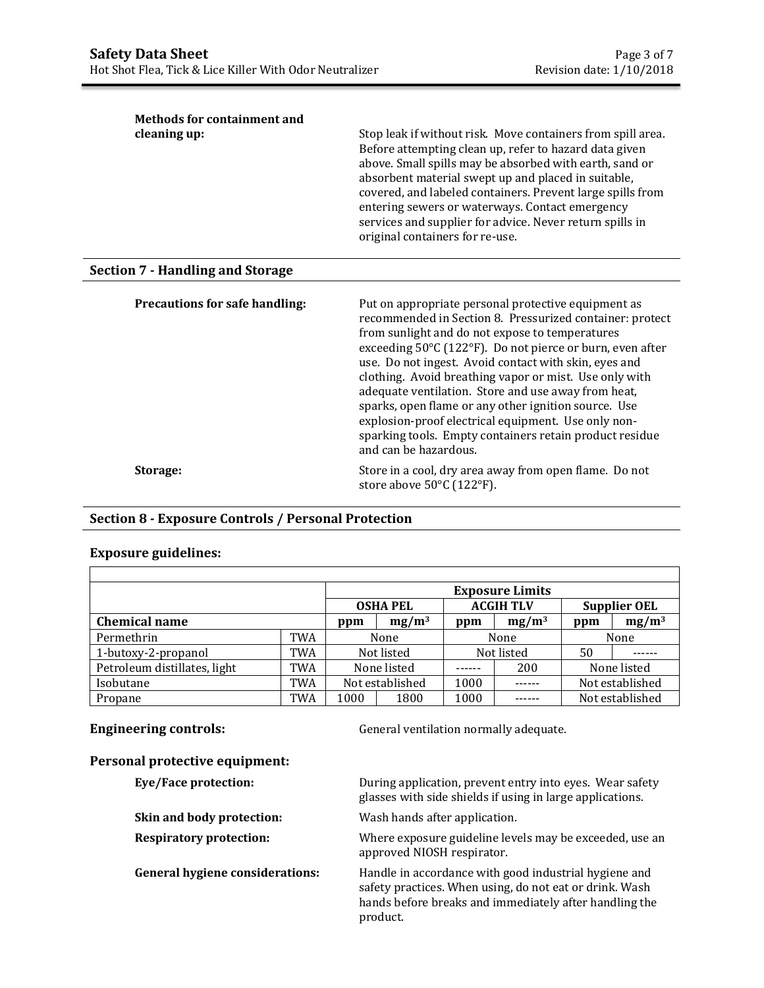$\mathbf{I}$ 

| cleaning up: | Stop leak if without risk. Move containers from spill area.<br>Before attempting clean up, refer to hazard data given<br>above. Small spills may be absorbed with earth, sand or<br>absorbent material swept up and placed in suitable,<br>covered, and labeled containers. Prevent large spills from<br>entering sewers or waterways. Contact emergency<br>services and supplier for advice. Never return spills in<br>original containers for re-use. |
|--------------|---------------------------------------------------------------------------------------------------------------------------------------------------------------------------------------------------------------------------------------------------------------------------------------------------------------------------------------------------------------------------------------------------------------------------------------------------------|
|--------------|---------------------------------------------------------------------------------------------------------------------------------------------------------------------------------------------------------------------------------------------------------------------------------------------------------------------------------------------------------------------------------------------------------------------------------------------------------|

# **Section 7 - Handling and Storage**

| <b>Precautions for safe handling:</b> | Put on appropriate personal protective equipment as<br>recommended in Section 8. Pressurized container: protect<br>from sunlight and do not expose to temperatures<br>exceeding 50°C (122°F). Do not pierce or burn, even after<br>use. Do not ingest. Avoid contact with skin, eyes and<br>clothing. Avoid breathing vapor or mist. Use only with<br>adequate ventilation. Store and use away from heat,<br>sparks, open flame or any other ignition source. Use<br>explosion-proof electrical equipment. Use only non-<br>sparking tools. Empty containers retain product residue<br>and can be hazardous. |
|---------------------------------------|--------------------------------------------------------------------------------------------------------------------------------------------------------------------------------------------------------------------------------------------------------------------------------------------------------------------------------------------------------------------------------------------------------------------------------------------------------------------------------------------------------------------------------------------------------------------------------------------------------------|
| Storage:                              | Store in a cool, dry area away from open flame. Do not<br>store above 50°C (122°F).                                                                                                                                                                                                                                                                                                                                                                                                                                                                                                                          |

# **Section 8 - Exposure Controls / Personal Protection**

# **Exposure guidelines:**

 $\Gamma$ 

|                              |     |                 |  |        | <b>Exposure Limits</b> |                     |          |
|------------------------------|-----|-----------------|--|--------|------------------------|---------------------|----------|
|                              |     |                 |  |        |                        | <b>Supplier OEL</b> |          |
|                              |     | <b>OSHA PEL</b> |  |        | <b>ACGIH TLV</b>       |                     |          |
| <b>Chemical name</b>         |     | $mg/m^3$<br>ppm |  | ppm    | $mg/m^3$               | ppm                 | $mg/m^3$ |
| Permethrin                   | TWA | None            |  | None   |                        | None                |          |
| 1-butoxy-2-propanol          | TWA | Not listed      |  |        | Not listed             | 50                  |          |
| Petroleum distillates, light | TWA | None listed     |  | ------ | 200                    | None listed         |          |
| Isobutane                    | TWA | Not established |  | 1000   |                        | Not established     |          |
| Propane                      | TWA | 1000<br>1800    |  | 1000   |                        | Not established     |          |

**Engineering controls: General ventilation normally adequate.** 

# **Personal protective equipment:**

| Eye/Face protection:                   | During application, prevent entry into eyes. Wear safety<br>glasses with side shields if using in large applications.                                                                  |
|----------------------------------------|----------------------------------------------------------------------------------------------------------------------------------------------------------------------------------------|
| Skin and body protection:              | Wash hands after application.                                                                                                                                                          |
| <b>Respiratory protection:</b>         | Where exposure guideline levels may be exceeded, use an<br>approved NIOSH respirator.                                                                                                  |
| <b>General hygiene considerations:</b> | Handle in accordance with good industrial hygiene and<br>safety practices. When using, do not eat or drink. Wash<br>hands before breaks and immediately after handling the<br>product. |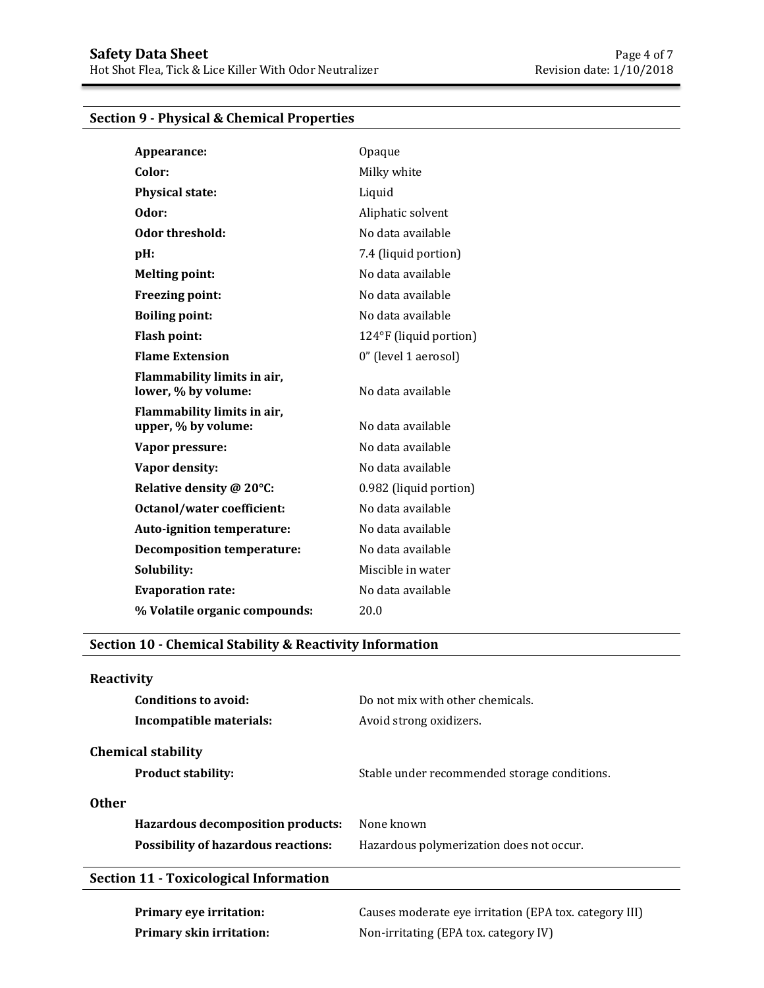# **Section 9 - Physical & Chemical Properties**

| Appearance:                                        | Opaque                 |
|----------------------------------------------------|------------------------|
| Color:                                             | Milky white            |
| <b>Physical state:</b>                             | Liquid                 |
| Odor:                                              | Aliphatic solvent      |
| Odor threshold:                                    | No data available      |
| pH:                                                | 7.4 (liquid portion)   |
| <b>Melting point:</b>                              | No data available      |
| <b>Freezing point:</b>                             | No data available      |
| <b>Boiling point:</b>                              | No data available      |
| <b>Flash point:</b>                                | 124°F (liquid portion) |
| <b>Flame Extension</b>                             | 0" (level 1 aerosol)   |
| Flammability limits in air,<br>lower, % by volume: | No data available      |
| Flammability limits in air,                        |                        |
| upper, % by volume:                                | No data available      |
| Vapor pressure:                                    | No data available      |
| Vapor density:                                     | No data available      |
| Relative density @ 20°C:                           | 0.982 (liquid portion) |
| Octanol/water coefficient:                         | No data available      |
| Auto-ignition temperature:                         | No data available      |
| <b>Decomposition temperature:</b>                  | No data available      |
| Solubility:                                        | Miscible in water      |
| <b>Evaporation rate:</b>                           | No data available      |
| % Volatile organic compounds:                      | 20.0                   |

# **Section 10 - Chemical Stability & Reactivity Information**

# **Reactivity**

| Conditions to avoid:                       | Do not mix with other chemicals.             |
|--------------------------------------------|----------------------------------------------|
| Incompatible materials:                    | Avoid strong oxidizers.                      |
| <b>Chemical stability</b>                  |                                              |
| <b>Product stability:</b>                  | Stable under recommended storage conditions. |
| <b>Other</b>                               |                                              |
| Hazardous decomposition products:          | None known                                   |
| <b>Possibility of hazardous reactions:</b> | Hazardous polymerization does not occur.     |
|                                            |                                              |

# **Section 11 - Toxicological Information**

**Primary eye irritation:** Causes moderate eye irritation (EPA tox. category III) **Primary skin irritation:** Non-irritating (EPA tox. category IV)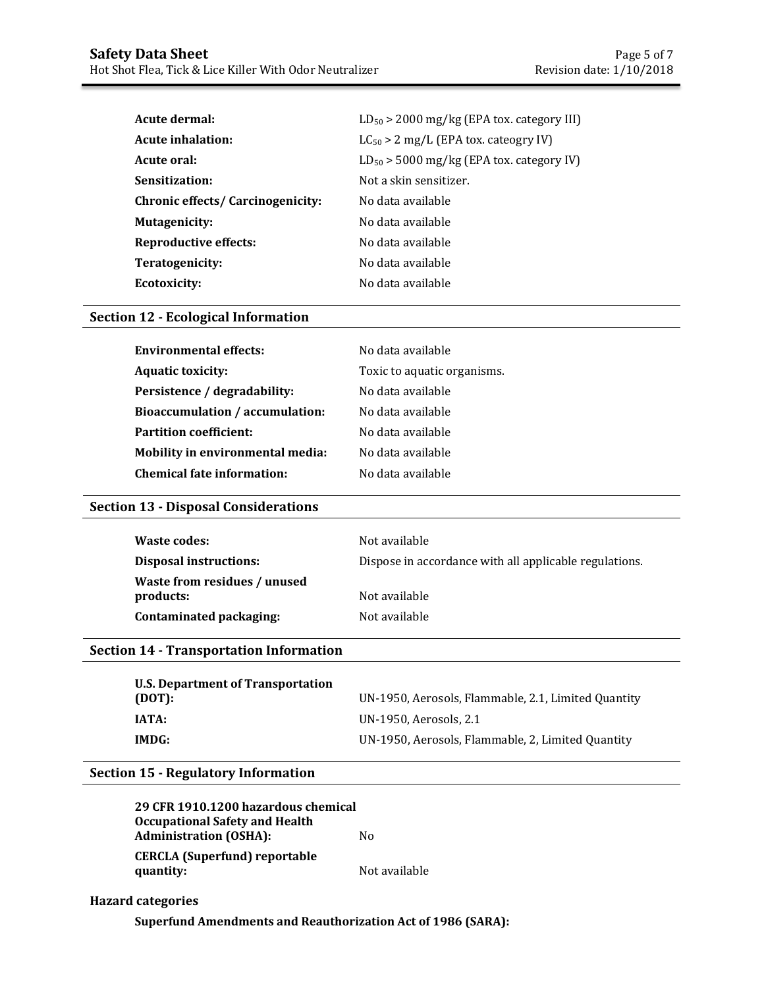| Acute dermal:                            | $LD_{50}$ > 2000 mg/kg (EPA tox. category III) |
|------------------------------------------|------------------------------------------------|
| <b>Acute inhalation:</b>                 | $LC_{50}$ > 2 mg/L (EPA tox. cateogry IV)      |
| Acute oral:                              | $LD_{50}$ > 5000 mg/kg (EPA tox. category IV)  |
| Sensitization:                           | Not a skin sensitizer.                         |
| <b>Chronic effects/ Carcinogenicity:</b> | No data available                              |
| <b>Mutagenicity:</b>                     | No data available                              |
| Reproductive effects:                    | No data available                              |
| Teratogenicity:                          | No data available                              |
| Ecotoxicity:                             | No data available                              |

### **Section 12 - Ecological Information**

| <b>Environmental effects:</b>     | No data available           |
|-----------------------------------|-----------------------------|
| <b>Aquatic toxicity:</b>          | Toxic to aquatic organisms. |
| Persistence / degradability:      | No data available           |
| Bioaccumulation / accumulation:   | No data available           |
| <b>Partition coefficient:</b>     | No data available           |
| Mobility in environmental media:  | No data available           |
| <b>Chemical fate information:</b> | No data available           |

### **Section 13 - Disposal Considerations**

| Waste codes:                              | Not available                                          |
|-------------------------------------------|--------------------------------------------------------|
| <b>Disposal instructions:</b>             | Dispose in accordance with all applicable regulations. |
| Waste from residues / unused<br>products: | Not available                                          |
| Contaminated packaging:                   | Not available                                          |

### **Section 14 - Transportation Information**

| <b>U.S. Department of Transportation</b><br>(DOT): | UN-1950, Aerosols, Flammable, 2.1, Limited Quantity |
|----------------------------------------------------|-----------------------------------------------------|
| IATA:                                              | UN-1950, Aerosols, 2.1                              |
| IMDG:                                              | UN-1950, Aerosols, Flammable, 2, Limited Quantity   |

### **Section 15 - Regulatory Information**

**29 CFR 1910.1200 hazardous chemical Occupational Safety and Health Administration (OSHA):** No **CERCLA (Superfund) reportable quantity:** Not available

**Hazard categories**

**Superfund Amendments and Reauthorization Act of 1986 (SARA):**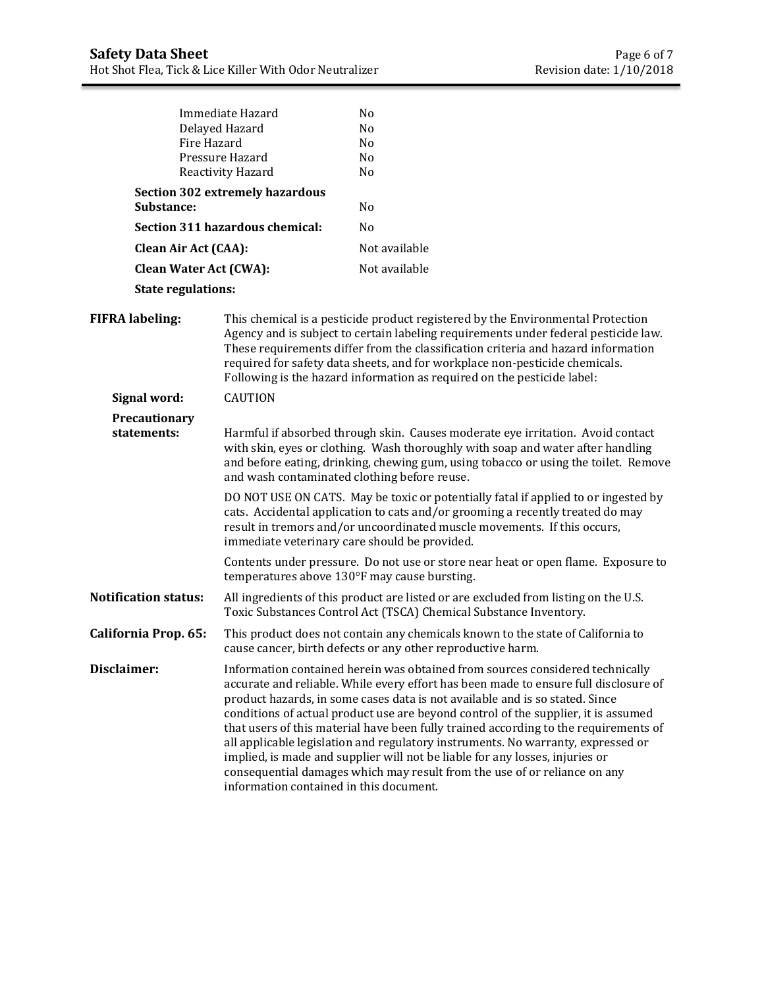| Fire Hazard                   | Immediate Hazard<br>Delayed Hazard<br>Pressure Hazard<br>Reactivity Hazard                                                                                                                                                                                                                                                                                                                                            | No<br>No<br>No<br>N <sub>o</sub><br>N <sub>o</sub>                                                                                                                                                                                                                                                                                                                                                                                                                                                                                                                                                                                                                                   |  |
|-------------------------------|-----------------------------------------------------------------------------------------------------------------------------------------------------------------------------------------------------------------------------------------------------------------------------------------------------------------------------------------------------------------------------------------------------------------------|--------------------------------------------------------------------------------------------------------------------------------------------------------------------------------------------------------------------------------------------------------------------------------------------------------------------------------------------------------------------------------------------------------------------------------------------------------------------------------------------------------------------------------------------------------------------------------------------------------------------------------------------------------------------------------------|--|
|                               | <b>Section 302 extremely hazardous</b>                                                                                                                                                                                                                                                                                                                                                                                |                                                                                                                                                                                                                                                                                                                                                                                                                                                                                                                                                                                                                                                                                      |  |
| Substance:                    |                                                                                                                                                                                                                                                                                                                                                                                                                       | N <sub>0</sub>                                                                                                                                                                                                                                                                                                                                                                                                                                                                                                                                                                                                                                                                       |  |
|                               | Section 311 hazardous chemical:                                                                                                                                                                                                                                                                                                                                                                                       | N <sub>o</sub>                                                                                                                                                                                                                                                                                                                                                                                                                                                                                                                                                                                                                                                                       |  |
| <b>Clean Air Act (CAA):</b>   |                                                                                                                                                                                                                                                                                                                                                                                                                       | Not available                                                                                                                                                                                                                                                                                                                                                                                                                                                                                                                                                                                                                                                                        |  |
| <b>Clean Water Act (CWA):</b> |                                                                                                                                                                                                                                                                                                                                                                                                                       | Not available                                                                                                                                                                                                                                                                                                                                                                                                                                                                                                                                                                                                                                                                        |  |
| <b>State regulations:</b>     |                                                                                                                                                                                                                                                                                                                                                                                                                       |                                                                                                                                                                                                                                                                                                                                                                                                                                                                                                                                                                                                                                                                                      |  |
| <b>FIFRA labeling:</b>        | This chemical is a pesticide product registered by the Environmental Protection<br>Agency and is subject to certain labeling requirements under federal pesticide law.<br>These requirements differ from the classification criteria and hazard information<br>required for safety data sheets, and for workplace non-pesticide chemicals.<br>Following is the hazard information as required on the pesticide label: |                                                                                                                                                                                                                                                                                                                                                                                                                                                                                                                                                                                                                                                                                      |  |
| Signal word:                  | <b>CAUTION</b>                                                                                                                                                                                                                                                                                                                                                                                                        |                                                                                                                                                                                                                                                                                                                                                                                                                                                                                                                                                                                                                                                                                      |  |
| Precautionary<br>statements:  | and wash contaminated clothing before reuse.                                                                                                                                                                                                                                                                                                                                                                          | Harmful if absorbed through skin. Causes moderate eye irritation. Avoid contact<br>with skin, eyes or clothing. Wash thoroughly with soap and water after handling<br>and before eating, drinking, chewing gum, using tobacco or using the toilet. Remove                                                                                                                                                                                                                                                                                                                                                                                                                            |  |
|                               |                                                                                                                                                                                                                                                                                                                                                                                                                       | DO NOT USE ON CATS. May be toxic or potentially fatal if applied to or ingested by<br>cats. Accidental application to cats and/or grooming a recently treated do may<br>result in tremors and/or uncoordinated muscle movements. If this occurs,<br>immediate veterinary care should be provided.                                                                                                                                                                                                                                                                                                                                                                                    |  |
|                               |                                                                                                                                                                                                                                                                                                                                                                                                                       | Contents under pressure. Do not use or store near heat or open flame. Exposure to<br>temperatures above 130°F may cause bursting.                                                                                                                                                                                                                                                                                                                                                                                                                                                                                                                                                    |  |
| <b>Notification status:</b>   | All ingredients of this product are listed or are excluded from listing on the U.S.<br>Toxic Substances Control Act (TSCA) Chemical Substance Inventory.                                                                                                                                                                                                                                                              |                                                                                                                                                                                                                                                                                                                                                                                                                                                                                                                                                                                                                                                                                      |  |
| California Prop. 65:          |                                                                                                                                                                                                                                                                                                                                                                                                                       | This product does not contain any chemicals known to the state of California to<br>cause cancer, birth defects or any other reproductive harm.                                                                                                                                                                                                                                                                                                                                                                                                                                                                                                                                       |  |
| Disclaimer:                   | information contained in this document.                                                                                                                                                                                                                                                                                                                                                                               | Information contained herein was obtained from sources considered technically<br>accurate and reliable. While every effort has been made to ensure full disclosure of<br>product hazards, in some cases data is not available and is so stated. Since<br>conditions of actual product use are beyond control of the supplier, it is assumed<br>that users of this material have been fully trained according to the requirements of<br>all applicable legislation and regulatory instruments. No warranty, expressed or<br>implied, is made and supplier will not be liable for any losses, injuries or<br>consequential damages which may result from the use of or reliance on any |  |